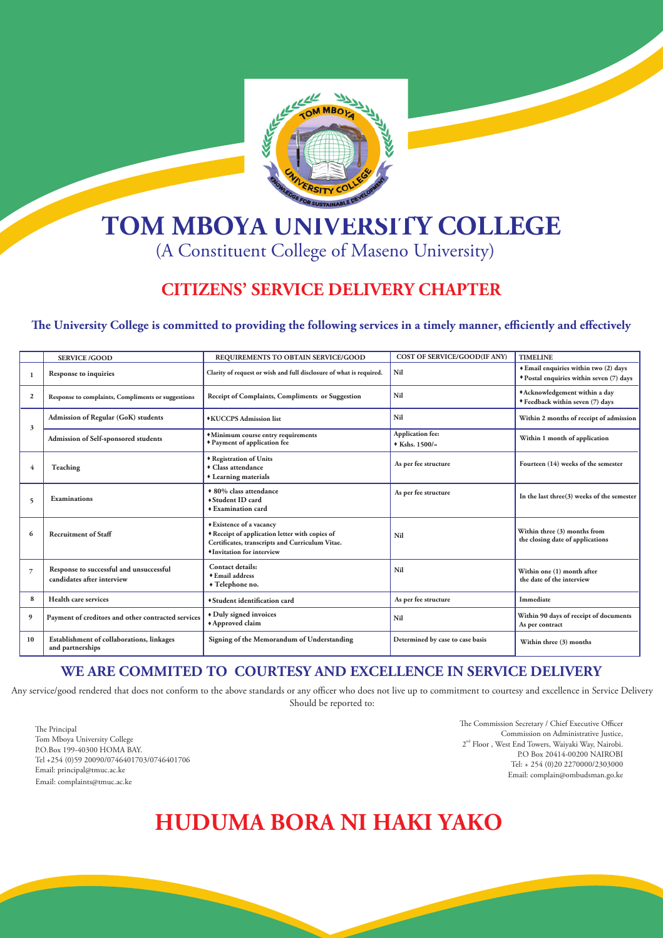

# **TOM MBOYA UNIVERSITY COLLEGE**

## (A Constituent College of Maseno University)

### **CITIZENS' SERVICE DELIVERY CHAPTER**

The University College is committed to providing the following services in a timely manner, efficiently and effectively

Any service/good rendered that does not conform to the above standards or any officer who does not live up to commitment to courtesy and excellence in Service Delivery Should be reported to:

The Principal Tom Mboya University College P.O.Box 199-40300 HOMA BAY. Tel +254 (0)59 20090/0746401703/0746401706 Email: principal@tmuc.ac.ke Email: complaints@tmuc.ac.ke

The Commission Secretary / Chief Executive Officer Commission on Administrative Justice, 2<sup>nd</sup> Floor, West End Towers, Waiyaki Way, Nairobi.

|           | <b>SERVICE /GOOD</b>                                                  | <b>REQUIREMENTS TO OBTAIN SERVICE/GOOD</b>                                                                                                                        | <b>COST OF SERVICE/GOOD(IF ANY)</b>                 | <b>TIMELINE</b>                                                                   |
|-----------|-----------------------------------------------------------------------|-------------------------------------------------------------------------------------------------------------------------------------------------------------------|-----------------------------------------------------|-----------------------------------------------------------------------------------|
|           | <b>Response to inquiries</b>                                          | Clarity of request or wish and full disclosure of what is required.                                                                                               | Nil                                                 | ◆ Email enquiries within two (2) days<br>* Postal enquiries within seven (7) days |
|           | Response to complaints, Compliments or suggestions                    | <b>Receipt of Complaints, Compliments or Suggestion</b>                                                                                                           | Nil                                                 | *Acknowledgement within a day<br>◆ Feedback within seven (7) days                 |
|           | <b>Admission of Regular (GoK) students</b>                            | ◆KUCCPS Admission list                                                                                                                                            | <b>Nil</b>                                          | Within 2 months of receipt of admission                                           |
|           | Admission of Self-sponsored students                                  | • Minimum course entry requirements<br><i>*</i> Payment of application fee                                                                                        | <b>Application fee:</b><br>$\triangle$ Kshs. 1500/= | Within 1 month of application                                                     |
|           | <b>Teaching</b>                                                       | ◆ Registration of Units<br>• Class attendance<br>Learning materials                                                                                               | As per fee structure                                | Fourteen (14) weeks of the semester                                               |
|           | <b>Examinations</b>                                                   | ◆ 80% class attendance<br>◆ Student ID card<br>$\triangle$ Examination card                                                                                       | As per fee structure                                | In the last three $(3)$ weeks of the semester                                     |
|           | <b>Recruitment of Staff</b>                                           | ◆ Existence of a vacancy<br>* Receipt of application letter with copies of<br>Certificates, transcripts and Curriculum Vitae.<br><i>*Invitation for interview</i> | <b>Nil</b>                                          | Within three (3) months from<br>the closing date of applications                  |
|           | Response to successful and unsuccessful<br>candidates after interview | <b>Contact details:</b><br>◆ Email address<br>• Telephone no.                                                                                                     | <b>Nil</b>                                          | Within one (1) month after<br>the date of the interview                           |
|           | Health care services                                                  | Student identification card                                                                                                                                       | As per fee structure                                | Immediate                                                                         |
|           | Payment of creditors and other contracted services                    | Duly signed invoices<br>Approved claim                                                                                                                            | <b>Nil</b>                                          | Within 90 days of receipt of documents<br>As per contract                         |
| <b>10</b> | Establishment of collaborations, linkages<br>and partnerships         | Signing of the Memorandum of Understanding                                                                                                                        | Determined by case to case basis                    | Within three (3) months                                                           |

P.O Box 20414-00200 NAIROBI Tel: + 254 (0)20 2270000/2303000 Email: complain@ombudsman.go.ke

#### **WE ARE COMMITED TO COURTESY AND EXCELLENCE IN SERVICE DELIVERY**

## **HUDUMA BORA NI HAKI YAKO**